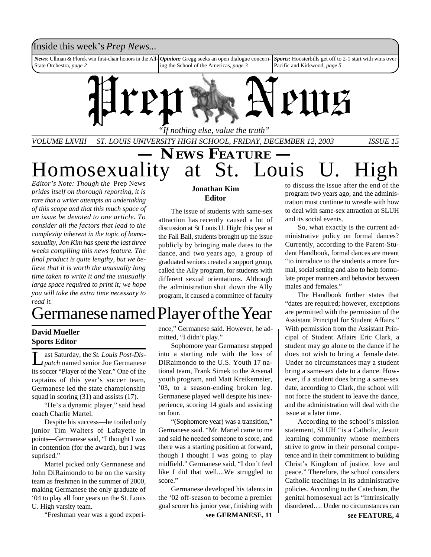### Inside this week's *Prep News*...

*News*: Ullman & Florek win first-chair honors in the All-State Orchestra, *page 2 Opinion:* Gregg seeks an open dialogue concerning the School of the Americas, *page 3 Sports:* Hoosierbills get off to 2-1 start with wins over Pacific and Kirkwood, *page 5*



*VOLUME LXVIII ST. LOUIS UNIVERSITY HIGH SCHOOL, FRIDAY, DECEMBER 12, 2003 ISSUE 15*

**EWS FEATURE** —<br>at St. Louis Homosexuality at *Editor's Note: Though the* Prep News

*prides itself on thorough reporting, it is rare that a writer attempts an undertaking of this scope and that this much space of an issue be devoted to one article. To consider all the factors that lead to the complexity inherent in the topic of homosexuality, Jon Kim has spent the last three weeks compiling this news feature. The final product is quite lengthy, but we believe that it is worth the unusually long time taken to write it and the unusually large space required to print it; we hope you will take the extra time necessary to read it.*

## Germanese named Player of the Year

on four.

score."

### **David Mueller Sports Editor**

L ast Saturday, the *St. Louis Post-Dispatch* named senior Joe Germanese its soccer "Player of the Year." One of the captains of this year's soccer team, Germanese led the state championship squad in scoring (31) and assists (17).

"He's a dynamic player," said head coach Charlie Martel.

Despite his success—he trailed only junior Tim Walters of Lafayette in points—Germanese said, "I thought I was in contention (for the award), but I was suprised."

Martel picked only Germanese and John DiRaimondo to be on the varsity team as freshmen in the summer of 2000, making Germanese the only graduate of '04 to play all four years on the St. Louis U. High varsity team.

"Freshman year was a good experi-

### **Jonathan Kim Editor**

The issue of students with same-sex attraction has recently caused a lot of discussion at St Louis U. High: this year at the Fall Ball, students brought up the issue publicly by bringing male dates to the dance, and two years ago, a group of graduated seniors created a support group, called the Ally program, for students with different sexual orientations. Although the administration shut down the Ally program, it caused a committee of faculty

ence," Germanese said. However, he ad-

Sophomore year Germanese stepped into a starting role with the loss of DiRaimondo to the U.S. Youth 17 national team, Frank Simek to the Arsenal youth program, and Matt Kreikemeier, '03, to a season-ending broken leg. Germanese played well despite his inexperience, scoring 14 goals and assisting

"(Sophomore year) was a transition," Germanese said. "Mr. Martel came to me and said he needed someone to score, and there was a starting position at forward, though I thought I was going to play midfield." Germanese said, "I don't feel like I did that well....We struggled to

Germanese developed his talents in the '02 off-season to become a premier goal scorer his junior year, finishing with

mitted, "I didn't play."

to discuss the issue after the end of the program two years ago, and the administration must continue to wrestle with how to deal with same-sex attraction at SLUH and its social events.

So, what exactly is the current administrative policy on formal dances? Currently, according to the Parent-Student Handbook, formal dances are meant "to introduce to the students a more formal, social setting and also to help formulate proper manners and behavior between males and females."

The Handbook further states that "dates are required; however, exceptions are permitted with the permission of the Assistant Principal for Student Affairs." With permission from the Assistant Principal of Student Affairs Eric Clark, a student may go alone to the dance if he does not wish to bring a female date. Under no circumstances may a student bring a same-sex date to a dance. However, if a student does bring a same-sex date, according to Clark, the school will not force the student to leave the dance, and the administration will deal with the issue at a later time.

According to the school's mission statement, SLUH "is a Catholic, Jesuit learning community whose members strive to grow in their personal competence and in their commitment to building Christ's Kingdom of justice, love and peace." Therefore, the school considers Catholic teachings in its administrative policies. According to the Catechism, the genital homosexual act is "intrinsically disordered…. Under no circumstances can

**see GERMANESE, 11**

**see FEATURE, 4**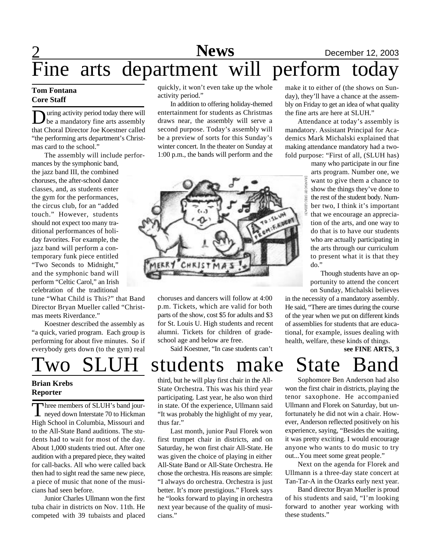# **News** December 12, 2003

### $\overline{\text{F}}$ ine Fine arts department will perform today

### **Tom Fontana Core Staff**

**D** uring activity period today there will<br>be a mandatory fine arts assembly uring activity period today there will that Choral Director Joe Koestner called "the performing arts department's Christmas card to the school."

The assembly will include performances by the symphonic band, the jazz band III, the combined choruses, the after-school dance classes, and, as students enter the gym for the performances, the circus club, for an "added touch." However, students should not expect too many traditional performances of holiday favorites. For example, the jazz band will perform a contemporary funk piece entitled "Two Seconds to Midnight," and the symphonic band will perform "Celtic Carol," an Irish celebration of the traditional

tune "What Child is This?" that Band Director Bryan Mueller called "Christmas meets Riverdance."

Koestner described the assembly as "a quick, varied program. Each group is performing for about five minutes. So if everybody gets down (to the gym) real

### **Brian Krebs Reporter**

Three members of SLUH's band jour-<br>neyed down Interstate 70 to Hickman hree members of SLUH's band jour-High School in Columbia, Missouri and to the All-State Band auditions. The students had to wait for most of the day. About 1,000 students tried out. After one audition with a prepared piece, they waited for call-backs. All who were called back then had to sight read the same new piece, a piece of music that none of the musicians had seen before.

Junior Charles Ullmann won the first tuba chair in districts on Nov. 11th. He competed with 39 tubaists and placed

quickly, it won't even take up the whole activity period."

In addition to offering holiday-themed entertainment for students as Christmas draws near, the assembly will serve a second purpose. Today's assembly will be a preview of sorts for this Sunday's winter concert. In the theater on Sunday at 1:00 p.m., the bands will perform and the



choruses and dancers will follow at 4:00 p.m. Tickets, which are valid for both parts of the show, cost \$5 for adults and \$3 for St. Louis U. High students and recent alumni. Tickets for children of gradeschool age and below are free.

Said Koestner, "In case students can't

make it to either of (the shows on Sunday), they'll have a chance at the assembly on Friday to get an idea of what quality the fine arts are here at SLUH."

Attendance at today's assembly is mandatory. Assistant Principal for Academics Mark Michalski explained that making attendance mandatory had a twofold purpose: "First of all, (SLUH has)

> many who participate in our fine arts program. Number one, we want to give them a chance to show the things they've done to the rest of the student body. Number two, I think it's important that we encourage an appreciation of the arts, and one way to do that is to have our students who are actually participating in the arts through our curriculum to present what it is that they do."

> Though students have an opportunity to attend the concert on Sunday, Michalski believes

in the necessity of a mandatory assembly. He said, "There are times during the course of the year when we put on different kinds of assemblies for students that are educational, for example, issues dealing with health, welfare, these kinds of things.

**see FINE ARTS, 3**

# Two SLUH students make State Band

third, but he will play first chair in the All-State Orchestra. This was his third year participating. Last year, he also won third in state. Of the experience, Ullmann said "It was probably the highlight of my year, thus far."

Last month, junior Paul Florek won first trumpet chair in districts, and on Saturday, he won first chair All-State. He was given the choice of playing in either All-State Band or All-State Orchestra. He chose the orchestra. His reasons are simple: "I always do orchestra. Orchestra is just better. It's more prestigious." Florek says he "looks forward to playing in orchestra next year because of the quality of musicians."

Sophomore Ben Anderson had also won the first chair in districts, playing the tenor saxophone. He accompanied Ullmann and Florek on Saturday, but unfortunately he did not win a chair. However, Anderson reflected positively on his experience, saying, "Besides the waiting, it was pretty exciting. I would encourage anyone who wants to do music to try out...You meet some great people."

Next on the agenda for Florek and Ullmann is a three-day state concert at Tan-Tar-A in the Ozarks early next year.

Band director Bryan Mueller is proud of his students and said, "I'm looking forward to another year working with these students."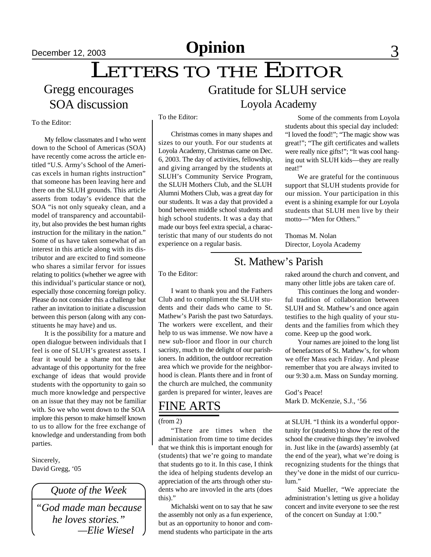## December 12, 2003 **Opinion** 3

## LETTERS TO THE EDITOR

## Gregg encourages SOA discussion

## Loyola Academy Gratitude for SLUH service

To the Editor:

My fellow classmates and I who went down to the School of Americas (SOA) have recently come across the article entitled "U.S. Army's School of the Americas excels in human rights instruction" that someone has been leaving here and there on the SLUH grounds. This article asserts from today's evidence that the SOA "is not only squeaky clean, and a model of transparency and accountability, but also provides the best human rights instruction for the military in the nation." Some of us have taken somewhat of an interest in this article along with its distributor and are excited to find someone who shares a similar fervor for issues relating to politics (whether we agree with this individual's particular stance or not), especially those concerning foreign policy. Please do not consider this a challenge but rather an invitation to initiate a discussion between this person (along with any constituents he may have) and us.

It is the possibility for a mature and open dialogue between individuals that I feel is one of SLUH's greatest assets. I fear it would be a shame not to take advantage of this opportunity for the free exchange of ideas that would provide students with the opportunity to gain so much more knowledge and perspective on an issue that they may not be familiar with. So we who went down to the SOA implore this person to make himself known to us to allow for the free exchange of knowledge and understanding from both parties.

Sincerely, David Gregg, '05

### *Quote of the Week*

*"God made man because he loves stories." —Elie Wiesel*

To the Editor:

Christmas comes in many shapes and sizes to our youth. For our students at Loyola Academy, Christmas came on Dec. 6, 2003. The day of activities, fellowship, and giving arranged by the students at SLUH's Community Service Program, the SLUH Mothers Club, and the SLUH Alumni Mothers Club, was a great day for our students. It was a day that provided a bond between middle school students and high school students. It was a day that made our boys feel extra special, a characteristic that many of our students do not experience on a regular basis.

Some of the comments from Loyola students about this special day included: "I loved the food!"; "The magic show was great!"; "The gift certificates and wallets were really nice gifts!"; "It was cool hanging out with SLUH kids—they are really neat!"

We are grateful for the continuous support that SLUH students provide for our mission. Your participation in this event is a shining example for our Loyola students that SLUH men live by their motto—"Men for Others."

Thomas M. Nolan Director, Loyola Academy

### St. Mathew's Parish

To the Editor:

I want to thank you and the Fathers Club and to compliment the SLUH students and their dads who came to St. Mathew's Parish the past two Saturdays. The workers were excellent, and their help to us was immense. We now have a new sub-floor and floor in our church sacristy, much to the delight of our parishioners. In addition, the outdoor recreation area which we provide for the neighborhood is clean. Plants there and in front of the church are mulched, the community garden is prepared for winter, leaves are

## FINE ARTS

(from 2)

"There are times when the administation from time to time decides that we think this is important enough for (students) that we're going to mandate that students go to it. In this case, I think the idea of helping students develop an appreciation of the arts through other students who are invovled in the arts (does this)."

Michalski went on to say that he saw the assembly not only as a fun experience, but as an opportunity to honor and commend students who participate in the arts

raked around the church and convent, and many other little jobs are taken care of.

This continues the long and wonderful tradition of collaboration between SLUH and St. Mathew's and once again testifies to the high quality of your students and the families from which they come. Keep up the good work.

Your names are joined to the long list of benefactors of St. Mathew's, for whom we offer Mass each Friday. And please remember that you are always invited to our 9:30 a.m. Mass on Sunday morning.

God's Peace! Mark D. McKenzie, S.J., '56

at SLUH. "I think its a wonderful opportunity for (students) to show the rest of the school the creative things they're involved in. Just like in the (awards) assembly (at the end of the year), what we're doing is recognizing students for the things that they've done in the midst of our curriculum."

Said Mueller, "We appreciate the administration's letting us give a holiday concert and invite everyone to see the rest of the concert on Sunday at 1:00."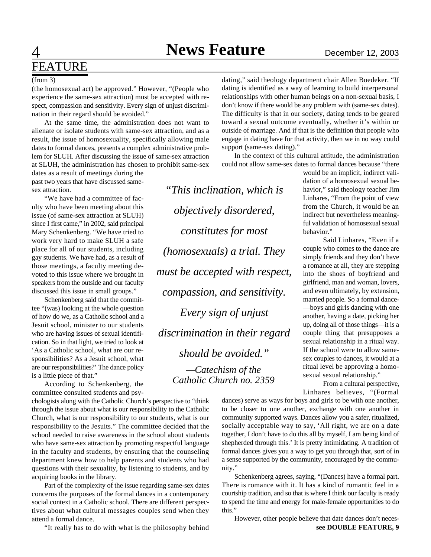*"This inclination, which is*

*objectively disordered,*

*constitutes for most*

*(homosexuals) a trial. They*

*must be accepted with respect,*

*compassion, and sensitivity.*

*Every sign of unjust*

*discrimination in their regard*

*should be avoided."*

*—Catechism of the Catholic Church no. 2359*

## $\overline{4}$ FEATURE

### (from 3)

(the homosexual act) be approved." However, "(People who experience the same-sex attraction) must be accepted with respect, compassion and sensitivity. Every sign of unjust discrimination in their regard should be avoided."

At the same time, the administration does not want to alienate or isolate students with same-sex attraction, and as a result, the issue of homosexuality, specifically allowing male dates to formal dances, presents a complex administrative problem for SLUH. After discussing the issue of same-sex attraction at SLUH, the administration has chosen to prohibit same-sex

dates as a result of meetings during the past two years that have discussed samesex attraction.

"We have had a committee of faculty who have been meeting about this issue (of same-sex attraction at SLUH) since I first came," in 2002, said principal Mary Schenkenberg. "We have tried to work very hard to make SLUH a safe place for all of our students, including gay students. We have had, as a result of those meetings, a faculty meeting devoted to this issue where we brought in speakers from the outside and our faculty discussed this issue in small groups."

Schenkenberg said that the committee "(was) looking at the whole question of how do we, as a Catholic school and a Jesuit school, minister to our students who are having issues of sexual identification. So in that light, we tried to look at 'As a Catholic school, what are our responsibilities? As a Jesuit school, what are our responsibilities?' The dance policy is a little piece of that."

According to Schenkenberg, the committee consulted students and psy-

chologists along with the Catholic Church's perspective to "think through the issue about what is our responsibility to the Catholic Church, what is our responsibility to our students, what is our responsibility to the Jesuits." The committee decided that the school needed to raise awareness in the school about students who have same-sex attraction by promoting respectful language in the faculty and students, by ensuring that the counseling department knew how to help parents and students who had questions with their sexuality, by listening to students, and by acquiring books in the library.

Part of the complexity of the issue regarding same-sex dates concerns the purposes of the formal dances in a contemporary social context in a Catholic school. There are different perspectives about what cultural messages couples send when they attend a formal dance.

"It really has to do with what is the philosophy behind

dating," said theology department chair Allen Boedeker. "If dating is identified as a way of learning to build interpersonal relationships with other human beings on a non-sexual basis, I don't know if there would be any problem with (same-sex dates). The difficulty is that in our society, dating tends to be geared toward a sexual outcome eventually, whether it's within or outside of marriage. And if that is the definition that people who engage in dating have for that activity, then we in no way could support (same-sex dating)."

In the context of this cultural attitude, the administration could not allow same-sex dates to formal dances because "there

> would be an implicit, indirect validation of a homosexual sexual behavior," said theology teacher Jim Linhares, "From the point of view from the Church, it would be an indirect but nevertheless meaningful validation of homosexual sexual behavior." Said Linhares, "Even if a

couple who comes to the dance are simply friends and they don't have a romance at all, they are stepping into the shoes of boyfriend and girlfriend, man and woman, lovers, and even ultimately, by extension, married people. So a formal dance- —boys and girls dancing with one another, having a date, picking her up, doing all of those things—it is a couple thing that presupposes a sexual relationship in a ritual way. If the school were to allow samesex couples to dances, it would at a ritual level be approving a homosexual sexual relationship."

From a cultural perspective, Linhares believes, "(Formal

dances) serve as ways for boys and girls to be with one another, to be closer to one another, exchange with one another in community supported ways. Dances allow you a safer, ritualized, socially acceptable way to say, 'All right, we are on a date together, I don't have to do this all by myself, I am being kind of shepherded through this.' It is pretty intimidating. A tradition of formal dances gives you a way to get you through that, sort of in a sense supported by the community, encouraged by the community."

Schenkenberg agrees, saying, "(Dances) have a formal part. There is romance with it. It has a kind of romantic feel in a courtship tradition, and so that is where I think our faculty is ready to spend the time and energy for male-female opportunities to do this."

**see DOUBLE FEATURE, 9** However, other people believe that date dances don't neces-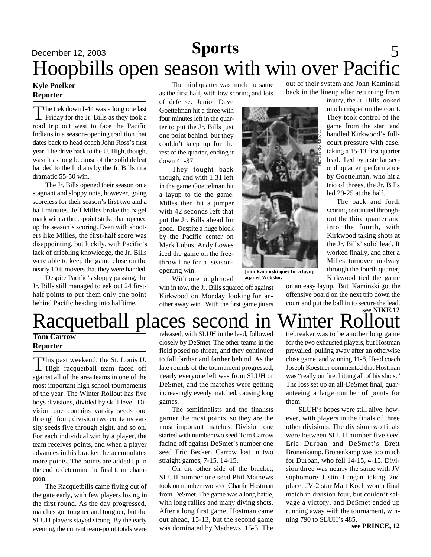## December 12, 2003 **Sports** 5 Hoopbills open season with win over Pacific

### **Kyle Poelker Reporter**

The trek down I-44 was a long one last<br>Friday for the Jr. Bills as they took a he trek down I-44 was a long one last road trip out west to face the Pacific Indians in a season-opening tradition that dates back to head coach John Ross's first year. The drive back to the U. High, though, wasn't as long because of the solid defeat handed to the Indians by the Jr. Bills in a dramatic 55-50 win.

The Jr. Bills opened their season on a stagnant and sloppy note, however, going scoreless for their season's first two and a half minutes. Jeff Milles broke the bagel mark with a three-point strike that opened up the season's scoring. Even with shooters like Milles, the first-half score was disappointing, but luckily, with Pacific's lack of dribbling knowledge, the Jr. Bills were able to keep the game close on the nearly 10 turnovers that they were handed.

Despite Pacific's sloppy passing, the Jr. Bills still managed to eek out 24 firsthalf points to put them only one point behind Pacific heading into halftime.

The third quarter was much the same as the first half, with low scoring and lots

of defense. Junior Dave Goettelman hit a three with four minutes left in the quarter to put the Jr. Bills just one point behind, but they couldn't keep up for the rest of the quarter, ending it down 41-37.

They fought back though, and with 1:31 left in the game Goettelman hit a layup to tie the game. Milles then hit a jumper with 42 seconds left that put the Jr. Bills ahead for good. Despite a huge block by the Pacific center on Mark Lubus, Andy Lowes iced the game on the freethrow line for a seasonopening win.

**against Webster.** With one tough road win in tow, the Jr. Bills squared off against Kirkwood on Monday looking for another away win. With the first game jitters

out of their system and John Kaminski back in the lineup after returning from

injury, the Jr. Bills looked much crisper on the court. They took control of the game from the start and handled Kirkwood's fullcourt pressure with ease, taking a 15-13 first quarter lead. Led by a stellar second quarter performance by Goettelman, who hit a trio of threes, the Jr. Bills led 29-25 at the half.

The back and forth scoring continued throughout the third quarter and into the fourth, with Kirkwood taking shots at the Jr. Bills' solid lead. It worked finally, and after a Milles turnover midway through the fourth quarter, Kirkwood tied the game

on an easy layup. But Kaminski got the offensive board on the next trip down the court and put the ball in to secure the lead.



**John Kaminski goes for a layup**

**Winter Rollout** Racquetball places second in

### **Tom Carrow Reporter**

This past weekend, the St. Louis U.<br>High racquetball team faced off This past weekend, the St. Louis U. against all of the area teams in one of the most important high school tournaments of the year. The Winter Rollout has five boys divisions, divided by skill level. Division one contains varsity seeds one through four; division two contains varsity seeds five through eight, and so on. For each individual win by a player, the team receives points, and when a player advances in his bracket, he accumulates more points. The points are added up in the end to determine the final team champion.

The Racquetbills came flying out of the gate early, with few players losing in the first round. As the day progressed, matches got tougher and tougher, but the SLUH players stayed strong. By the early evening, the current team-point totals were

released, with SLUH in the lead, followed closely by DeSmet. The other teams in the field posed no threat, and they continued to fall farther and farther behind. As the late rounds of the tournament progressed, nearly everyone left was from SLUH or DeSmet, and the matches were getting increasingly evenly matched, causing long games.

The semifinalists and the finalists garner the most points, so they are the most important matches. Division one started with number two seed Tom Carrow facing off against DeSmet's number one seed Eric Becker. Carrow lost in two straight games, 7-15, 14-15.

On the other side of the bracket, SLUH number one seed Phil Mathews took on number two seed Charlie Hostman from DeSmet. The game was a long battle, with long rallies and many diving shots. After a long first game, Hostman came out ahead, 15-13, but the second game was dominated by Mathews, 15-3. The

tiebreaker was to be another long game for the two exhausted players, but Hostman prevailed, pulling away after an otherwise close game and winning 11-8. Head coach Joseph Koestner commented that Hostman was "really on fire, hitting all of his shots." The loss set up an all-DeSmet final, guaranteeing a large number of points for them.

SLUH's hopes were still alive, however, with players in the finals of three other divisions. The division two finals were between SLUH number five seed Eric Durban and DeSmet's Brett Bronenkamp. Bronenkamp was too much for Durban, who fell 14-15, 4-15. Division three was nearly the same with JV sophomore Justin Langan taking 2nd place. JV-2 star Matt Koch won a final match in division four, but couldn't salvage a victory, and DeSmet ended up running away with the tournament, winning 790 to SLUH's 485.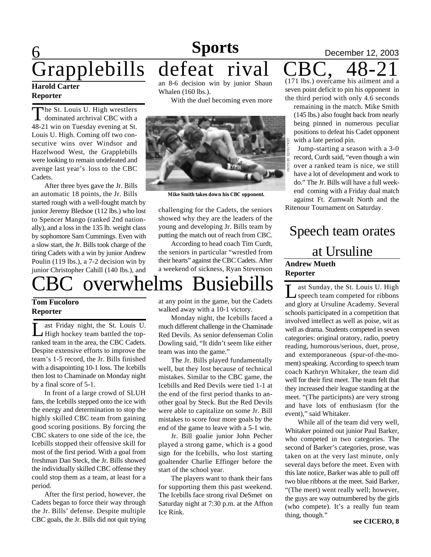## 6 **Sports** December 12, 2003<br>defeat rival CBC, 48-21 Grapplebills

### **Harold Carter Reporter**

The St. Louis U. High wrestlers<br>dominated archrival CBC with a The St. Louis U. High wrestlers 48-21 win on Tuesday evening at St. Louis U. High. Coming off two consecutive wins over Windsor and Hazelwood West, the Grapplebills were looking to remain undefeated and avenge last year's loss to the CBC Cadets.

After three byes gave the Jr. Bills an automatic 18 points, the Jr. Bills started rough with a well-fought match by junior Jeremy Bledsoe (112 lbs.) who lost to Spencer Mango (ranked 2nd nationally), and a loss in the 135 lb. weight class by sophomore Sam Cummings. Even with a slow start, the Jr. Bills took charge of the tiring Cadets with a win by junior Andrew Poulin (119 lbs.), a 7-2 decision win by junior Christopher Cahill (140 lbs.), and



With the duel becoming even more



**Mike Smith takes down his CBC opponent.**

challenging for the Cadets, the seniors showed why they are the leaders of the young and developing Jr. Bills team by putting the match out of reach from CBC.

According to head coach Tim Curdt, the seniors in particular "wrestled from their hearts" against the CBC Cadets. After a weekend of sickness, Ryan Stevenson

# overwhelms Busiebills

### **Tom Fucoloro Reporter**

L ast Friday night, the St. Louis U. High hockey team battled the topranked team in the area, the CBC Cadets. Despite extensive efforts to improve the team's 1-5 record, the Jr. Bills finished with a disapointing 10-1 loss. The Icebills then lost to Chaminade on Monday night by a final score of 5-1.

In front of a large crowd of SLUH fans, the Icebills stepped onto the ice with the energy and determination to stop the highly skilled CBC team from gaining good scoring positions. By forcing the CBC skaters to one side of the ice, the Icebills stopped their offensive skill for most of the first period. With a goal from freshman Dan Steck, the Jr. Bills showed the individually skilled CBC offense they could stop them as a team, at least for a period.

After the first period, however, the Cadets began to force their way through the Jr. Bills' defense. Despite multiple CBC goals, the Jr. Bills did not quit trying at any point in the game, but the Cadets walked away with a 10-1 victory.

Monday night, the Icebills faced a much different challenge in the Chaminade Red Devils. As senior defenseman Colin Dowling said, "It didn't seem like either team was into the game."

The Jr. Bills played fundamentally well, but they lost because of technical mistakes. Similar to the CBC game, the Icebills and Red Devils were tied 1-1 at the end of the first period thanks to another goal by Steck. But the Red Devils were able to capitalize on some Jr. Bill mistakes to score four more goals by the end of the game to leave with a 5-1 win.

Jr. Bill goalie junior John Pecher played a strong game, which is a good sign for the Icebills, who lost starting goaltender Charlie Effinger before the start of the school year.

The players want to thank their fans for supporting them this past weekend. The Icebills face strong rival DeSmet on Saturday night at 7:30 p.m. at the Affton Ice Rink.

(171 lbs.) overcame his ailment and a seven point deficit to pin his opponent in the third period with only 4.6 seconds

remaining in the match. Mike Smith (145 lbs.) also fought back from nearly being pinned in numerous peculiar positions to defeat his Cadet opponent with a late period pin.

Jump-starting a season with a 3-0 record, Curdt said, "even though a win over a ranked team is nice, we still have a lot of development and work to do." The Jr. Bills will have a full weekend coming with a Friday dual match against Ft. Zumwalt North and the

Ritenour Tournament on Saturday.

## **Andrew Mueth Reporter** Speech team orates at Ursuline

L ast Sunday, the St. Louis U. High speech team competed for ribbons and glory at Ursuline Academy. Several schools participated in a competition that involved intellect as well as poise, wit as well as drama. Students competed in seven categories: original oratory, radio, poetry reading, humorous/serious, duet, prose, and extemporaneous (spur-of-the-moment) speaking. According to speech team coach Kathryn Whitaker, the team did well for their first meet. The team felt that they increased their league standing at the meet. "(The participnts) are very strong and have lots of enthusiasm (for the event)," said Whitaker.

While all of the team did very well, Whitaker pointed out junior Paul Barker, who competed in two categories. The second of Barker's categories, prose, was taken on at the very last minute, only several days before the meet. Even with this late notice, Barker was able to pull off two blue ribbons at the meet. Said Barker, "(The meet) went really well; however, the guys are way outnumbered by the girls (who compete). It's a really fun team thing, though."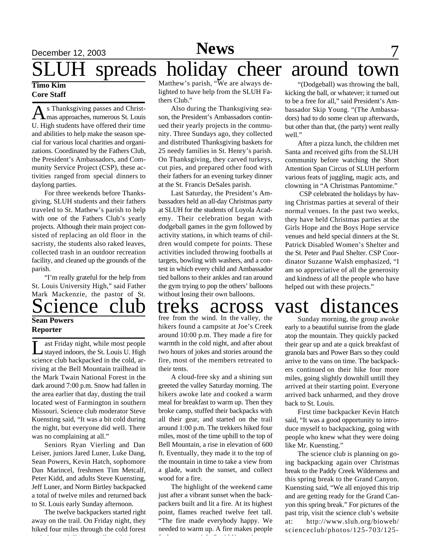## December 12, 2003 **Space 7 News** 7 spreads holiday cheer around town **News**

### **Timo Kim Core Staff**

As Thanksgiving passes and Christ-<br>
Mas approaches, numerous St. Louis s Thanksgiving passes and Christ-U. High students have offered their time and abilities to help make the season special for various local charities and organizations. Coordinated by the Fathers Club, the President's Ambassadors, and Community Service Project (CSP), these activities ranged from special dinners to daylong parties.

For three weekends before Thanksgiving, SLUH students and their fathers traveled to St. Mathew's parish to help with one of the Fathers Club's yearly projects. Although their main project consisted of replacing an old floor in the sacristy, the students also raked leaves, collected trash in an outdoor recreation facility, and cleaned up the grounds of the parish.

"I'm really grateful for the help from St. Louis University High," said Father Mark Mackenzie, the pastor of St.

### **Sean Powers Reporter**

 $\overline{\mathrm{L}}$ ast Friday night, while most people stayed indoors, the St. Louis U. High science club backpacked in the cold, arriving at the Bell Mountain trailhead in the Mark Twain National Forest in the dark around 7:00 p.m. Snow had fallen in the area earlier that day, dusting the trail located west of Farmington in southern Missouri. Science club moderator Steve Kuensting said, "It was a bit cold during the night, but everyone did well. There was no complaining at all."

Seniors Ryan Vierling and Dan Leiser, juniors Jared Luner, Luke Dang, Sean Powers, Kevin Hatch, sophomore Dan Marincel, freshmen Tim Metcalf, Peter Kidd, and adults Steve Kuensting, Jeff Luner, and Norm Birtley backpacked a total of twelve miles and returned back to St. Louis early Sunday afternoon.

The twelve backpackers started right away on the trail. On Friday night, they hiked four miles through the cold forest

Matthew's parish, "We are always delighted to have help from the SLUH Fathers Club."

Also during the Thanksgiving season, the President's Ambassadors continued their yearly projects in the community. Three Sundays ago, they collected and distributed Thanksgiving baskets for 25 needy families in St. Henry's parish. On Thanksgiving, they carved turkeys, cut pies, and prepared other food with their fathers for an evening turkey dinner at the St. Francis DeSales parish.

Last Saturday, the President's Ambassadors held an all-day Christmas party at SLUH for the students of Loyola Academy. Their celebration began with dodgeball games in the gym followed by activity stations, in which teams of children would compete for points. These activities included throwing footballs at targets, bowling with washers, and a contest in which every child and Ambassador tied ballons to their ankles and ran around the gym trying to pop the others' balloons without losing their own balloons.

free from the wind. In the valley, the hikers found a campsite at Joe's Creek around 10:00 p.m. They made a fire for warmth in the cold night, and after about two hours of jokes and stories around the fire, most of the members retreated to their tents.

A cloud-free sky and a shining sun greeted the valley Saturday morning. The hikers awoke late and cooked a warm meal for breakfast to warm up. Then they broke camp, stuffed their backpacks with all their gear, and started on the trail around 1:00 p.m. The trekkers hiked four miles, most of the time uphill to the top of Bell Mountain, a rise in elevation of 600 ft. Eventually, they made it to the top of the mountain in time to take a view from a glade, watch the sunset, and collect wood for a fire.

The highlight of the weekend came just after a vibrant sunset when the backpackers built and lit a fire. At its highest point, flames reached twelve feet tall. "The fire made everybody happy. We needed to warm up. A fire makes people feel secure at night." said Kuensting.

"(Dodgeball) was throwing the ball, kicking the ball, or whatever; it turned out to be a free for all," said President's Ambassador Skip Young. "(The Ambassadors) had to do some clean up afterwards, but other than that, (the party) went really well."

After a pizza lunch, the children met Santa and received gifts from the SLUH community before watching the Short Attention Span Circus of SLUH perform various feats of juggling, magic acts, and clowning in "A Christmas Pantomime."

 CSP celebrated the holidays by having Christmas parties at several of their normal venues. In the past two weeks, they have held Christmas parties at the Girls Hope and the Boys Hope service venues and held special dinners at the St. Patrick Disabled Women's Shelter and the St. Peter and Paul Shelter. CSP Coordinator Suzanne Walsh emphasized, "I am so appreciative of all the generosity and kindness of all the people who have helped out with these projects."

# Science club treks across vast distances

Sunday morning, the group awoke early to a beautiful sunrise from the glade atop the mountain. They quickly packed their gear up and ate a quick breakfast of granola bars and Power Bars so they could arrive to the vans on time. The backpackers continued on their hike four more miles, going slightly downhill untill they arrived at their starting point. Everyone arrived back unharmed, and they drove back to St. Louis.

First time backpacker Kevin Hatch said, "It was a good opportunity to introduce myself to backpacking, going with people who knew what they were doing like Mr. Kuensting."

The science club is planning on going backpacking again over Christmas break to the Paddy Creek Wilderness and this spring break to the Grand Canyon. Kuensting said, "We all enjoyed this trip and are getting ready for the Grand Canyon this spring break." For pictures of the past trip, visit the science club's website at: http://www.sluh.org/bioweb/ scienceclub/photos/125-703/125-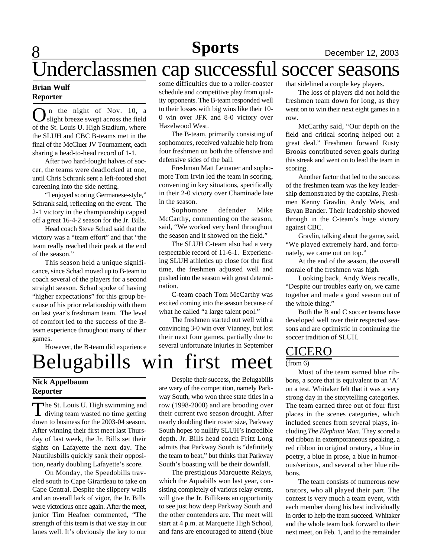## Underclassmen cap successful soccer seasons

### **Brian Wulf Reporter**

8

**O** in the night of Nov. 10, a<br>slight breeze swept across the field<br>of the St. Louis U. High Stadium, where n the night of Nov. 10, a slight breeze swept across the field the SLUH and CBC B-teams met in the final of the McCluer JV Tournament, each sharing a head-to-head record of 1-1.

After two hard-fought halves of soccer, the teams were deadlocked at one, until Chris Schrank sent a left-footed shot careening into the side netting.

"I enjoyed scoring Germanese-style," Schrank said, reflecting on the event. The 2-1 victory in the championship capped off a great 16-4-2 season for the Jr. Bills.

Head coach Steve Schad said that the victory was a "team effort" and that "the team really reached their peak at the end of the season."

This season held a unique significance, since Schad moved up to B-team to coach several of the players for a second straight season. Schad spoke of having "higher expectations" for this group because of his prior relationship with them on last year's freshmam team. The level of comfort led to the success of the Bteam experience throughout many of their games.

However, the B-team did experience

## Belugabills win first meet **Nick Appelbaum Reporter**

The St. Louis U. High swimming and<br>diving team wasted no time getting he St. Louis U. High swimming and down to business for the 2003-04 season. After winning their first meet last Thursday of last week, the Jr. Bills set their sights on Lafayette the next day. The Nautilusbills quickly sank their opposition, nearly doubling Lafayette's score.

On Monday, the Speedobills traveled south to Cape Girardeau to take on Cape Central. Despite the slippery walls and an overall lack of vigor, the Jr. Bills were victorious once again. After the meet, junior Tim Heafner commented, "The strength of this team is that we stay in our lanes well. It's obviously the key to our some difficulties due to a roller-coaster schedule and competitive play from quality opponents. The B-team responded well to their losses with big wins like their 10- 0 win over JFK and 8-0 victory over Hazelwood West.

The B-team, primarily consisting of sophomores, received valuable help from four freshmen on both the offensive and defensive sides of the ball.

Freshman Matt Leinauer and sophomore Tom Irvin led the team in scoring, converting in key situations, specifically in their 2-0 victory over Chaminade late in the season.

Sophomore defender Mike McCarthy, commenting on the season, said, "We worked very hard throughout the season and it showed on the field."

The SLUH C-team also had a very respectable record of 11-6-1. Experiencing SLUH athletics up close for the first time, the freshmen adjusted well and pushed into the season with great determination.

C-team coach Tom McCarthy was excited coming into the season because of what he called "a large talent pool."

The freshmen started out well with a convincing 3-0 win over Vianney, but lost their next four games, partially due to several unfortunate injuries in September

Despite their success, the Belugabills are wary of the competition, namely Parkway South, who won three state titles in a row (1998-2000) and are brooding over their current two season drought. After nearly doubling their roster size, Parkway South hopes to nullify SLUH's incredible depth. Jr. Bills head coach Fritz Long admits that Parkway South is "definitely the team to beat," but thinks that Parkway South's boasting will be their downfall.

The prestigious Marquette Relays, which the Aquabills won last year, consisting completely of various relay events, will give the Jr. Billikens an opportunity to see just how deep Parkway South and the other contenders are. The meet will start at 4 p.m. at Marquette High School, and fans are encouraged to attend (blue

that sidelined a couple key players.

The loss of players did not hold the freshmen team down for long, as they went on to win their next eight games in a row.

McCarthy said, "Our depth on the field and critical scoring helped out a great deal." Freshmen forward Rusty Brooks contributed seven goals during this streak and went on to lead the team in scoring.

Another factor that led to the success of the freshmen team was the key leadership demonstrated by the captains, Freshmen Kenny Gravlin, Andy Weis, and Bryan Bander. Their leadership showed through in the C-team's huge victory against CBC.

Gravlin, talking about the game, said, "We played extremely hard, and fortunately, we came out on top."

At the end of the season, the overall morale of the freshmen was high.

Looking back, Andy Weis recalls, "Despite our troubles early on, we came together and made a good season out of the whole thing."

Both the B and C soccer teams have developed well over their respected seasons and are optimistic in continuing the soccer tradition of SLUH.

### CICERO

 $(from 6)$ 

Most of the team earned blue ribbons, a score that is equivalent to an 'A' on a test. Whitaker felt that it was a very strong day in the storytelling categories. The team earned three out of four first places in the scenes categories, which included scenes from several plays, including *The Elephant Man*. They scored a red ribbon in extemporaneous speaking, a red ribbon in original oratory, a blue in poetry, a blue in prose, a blue in humorous/serious, and several other blue ribbons.

The team consists of numerous new orators, who all played their part. The contest is very much a team event, with each member doing his best individually in order to help the team succeed. Whitaker and the whole team look forward to their next meet, on Feb. 1, and to the remainder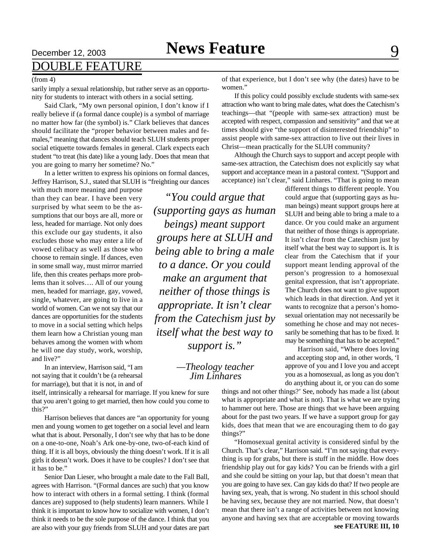## DOUBLE FEATURE

### (from 4)

sarily imply a sexual relationship, but rather serve as an opportunity for students to interact with others in a social setting.

Said Clark, "My own personal opinion, I don't know if I really believe if (a formal dance couple) is a symbol of marriage no matter how far (the symbol) is." Clark believes that dances should facilitate the "proper behavior between males and females," meaning that dances should teach SLUH students proper social etiquette towards females in general. Clark expects each student "to treat (his date) like a young lady. Does that mean that you are going to marry her sometime? No."

In a letter written to express his opinions on formal dances, Jeffrey Harrison, S.J., stated that SLUH is "freighting our dances

with much more meaning and purpose than they can bear. I have been very surprised by what seem to be the assumptions that our boys are all, more or less, headed for marriage. Not only does this exclude our gay students, it also excludes those who may enter a life of vowed celibacy as well as those who choose to remain single. If dances, even in some small way, must mirror married life, then this creates perhaps more problems than it solves…. All of our young men, headed for marriage, gay, vowed, single, whatever, are going to live in a world of women. Can we not say that our dances are opportunities for the students to move in a social setting which helps them learn how a Christian young man behaves among the women with whom he will one day study, work, worship, and live?"

In an interview, Harrison said, "I am not saying that it couldn't be (a rehearsal for marriage), but that it is not, in and of

itself, intrinsically a rehearsal for marriage. If you knew for sure that you aren't going to get married, then how could you come to this?"

Harrison believes that dances are "an opportunity for young men and young women to get together on a social level and learn what that is about. Personally, I don't see why that has to be done on a one-to-one, Noah's Ark one-by-one, two-of-each kind of thing. If it is all boys, obviously the thing doesn't work. If it is all girls it doesn't work. Does it have to be couples? I don't see that it has to be."

Senior Dan Lieser, who brought a male date to the Fall Ball, agrees with Harrison. "(Formal dances are such) that you know how to interact with others in a formal setting. I think (formal dances are) supposed to (help students) learn manners. While I think it is important to know how to socialize with women, I don't think it needs to be the sole purpose of the dance. I think that you are also with your guy friends from SLUH and your dates are part

*"You could argue that (supporting gays as human beings) meant support groups here at SLUH and being able to bring a male to a dance. Or you could make an argument that neither of those things is appropriate. It isn't clear from the Catechism just by itself what the best way to support is."*

> *—Theology teacher Jim Linhares*

of that experience, but I don't see why (the dates) have to be women."

If this policy could possibly exclude students with same-sex attraction who want to bring male dates, what does the Catechism's teachings—that "(people with same-sex attraction) must be accepted with respect, compassion and sensitivity" and that we at times should give "the support of disinterested friendship" to assist people with same-sex attraction to live out their lives in Christ—mean practically for the SLUH community?

Although the Church says to support and accept people with same-sex attraction, the Catechism does not explicitly say what support and acceptance mean in a pastoral context. "(Support and acceptance) isn't clear," said Linhares. "That is going to mean

> different things to different people. You could argue that (supporting gays as human beings) meant support groups here at SLUH and being able to bring a male to a dance. Or you could make an argument that neither of those things is appropriate. It isn't clear from the Catechism just by itself what the best way to support is. It is clear from the Catechism that if your support meant lending approval of the person's progression to a homosexual genital expression, that isn't appropriate. The Church does not want to give support which leads in that direction. And yet it wants to recognize that a person's homosexual orientation may not necessarily be something he chose and may not necessarily be something that has to be fixed. It may be something that has to be accepted."

> Harrison said, "Where does loving and accepting stop and, in other words, 'I approve of you and I love you and accept you as a homosexual, as long as you don't do anything about it, or you can do some

things and not other things?' See, nobody has made a list (about what is appropriate and what is not). That is what we are trying to hammer out here. Those are things that we have been arguing about for the past two years. If we have a support group for gay kids, does that mean that we are encouraging them to do gay things?"

**see FEATURE III, 10** "Homosexual genital activity is considered sinful by the Church. That's clear," Harrison said. "I'm not saying that everything is up for grabs, but there is stuff in the middle. How does friendship play out for gay kids? You can be friends with a girl and she could be sitting on your lap, but that doesn't mean that you are going to have sex. Can gay kids do that? If two people are having sex, yeah, that is wrong. No student in this school should be having sex, because they are not married. Now, that doesn't mean that there isn't a range of activities between not knowing anyone and having sex that are acceptable or moving towards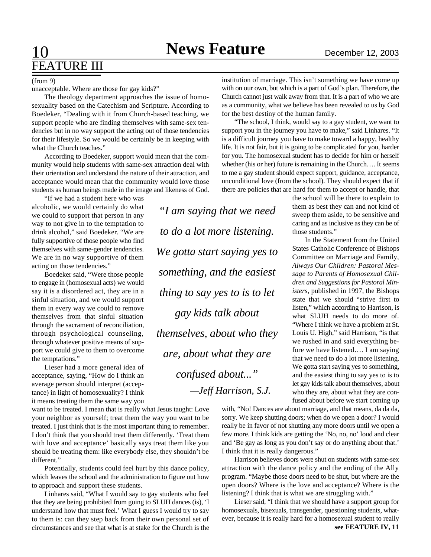# FEATURE III

(from 9)

unacceptable. Where are those for gay kids?"

The theology department approaches the issue of homosexuality based on the Catechism and Scripture. According to Boedeker, "Dealing with it from Church-based teaching, we support people who are finding themselves with same-sex tendencies but in no way support the acting out of those tendencies for their lifestyle. So we would be certainly be in keeping with what the Church teaches."

According to Boedeker, support would mean that the community would help students with same-sex attraction deal with their orientation and understand the nature of their attraction, and acceptance would mean that the community would love those students as human beings made in the image and likeness of God.

"If we had a student here who was alcoholic, we would certainly do what we could to support that person in any way to not give in to the temptation to drink alcohol," said Boedeker. "We are fully supportive of those people who find themselves with same-gender tendencies. We are in no way supportive of them acting on those tendencies."

Boedeker said, "Were those people to engage in (homosexual acts) we would say it is a disordered act, they are in a sinful situation, and we would support them in every way we could to remove themselves from that sinful situation through the sacrament of reconciliation, through psychological counseling, through whatever positive means of support we could give to them to overcome the temptations."

Lieser had a more general idea of acceptance, saying, "How do I think an average person should interpret (acceptance) in light of homosexuality? I think it means treating them the same way you

want to be treated. I mean that is really what Jesus taught: Love your neighbor as yourself; treat them the way you want to be treated. I just think that is the most important thing to remember. I don't think that you should treat them differently. 'Treat them with love and acceptance' basically says treat them like you should be treating them: like everybody else, they shouldn't be different."

Potentially, students could feel hurt by this dance policy, which leaves the school and the administration to figure out how to approach and support these students.

Linhares said, "What I would say to gay students who feel that they are being prohibited from going to SLUH dances (is), 'I understand how that must feel.' What I guess I would try to say to them is: can they step back from their own personal set of circumstances and see that what is at stake for the Church is the

*"I am saying that we need to do a lot more listening. We gotta start saying yes to something, and the easiest thing to say yes to is to let gay kids talk about themselves, about who they are, about what they are confused about..." —Jeff Harrison, S.J.*

institution of marriage. This isn't something we have come up with on our own, but which is a part of God's plan. Therefore, the Church cannot just walk away from that. It is a part of who we are as a community, what we believe has been revealed to us by God for the best destiny of the human family.

"The school, I think, would say to a gay student, we want to support you in the journey you have to make," said Linhares. "It is a difficult journey you have to make toward a happy, healthy life. It is not fair, but it is going to be complicated for you, harder for you. The homosexual student has to decide for him or herself whether (his or her) future is remaining in the Church…. It seems to me a gay student should expect support, guidance, acceptance, unconditional love (from the school). They should expect that if there are policies that are hard for them to accept or handle, that

> the school will be there to explain to them as best they can and not kind of sweep them aside, to be sensitive and caring and as inclusive as they can be of those students."

> In the Statement from the United States Catholic Conference of Bishops Committee on Marriage and Family, *Always Our Children: Pastoral Message to Parents of Homosexual Children and Suggestions for Pastoral Ministers*, published in 1997, the Bishops state that we should "strive first to listen," which according to Harrison, is what SLUH needs to do more of. "Where I think we have a problem at St. Louis U. High," said Harrison, "is that we rushed in and said everything before we have listened…. I am saying that we need to do a lot more listening. We gotta start saying yes to something, and the easiest thing to say yes to is to let gay kids talk about themselves, about who they are, about what they are confused about before we start coming up

with, "No! Dances are about marriage, and that means, da da da, sorry. We keep shutting doors; when do we open a door? I would really be in favor of not shutting any more doors until we open a few more. I think kids are getting the 'No, no, no' loud and clear and 'Be gay as long as you don't say or do anything about that.' I think that it is really dangerous."

Harrison believes doors were shut on students with same-sex attraction with the dance policy and the ending of the Ally program. "Maybe those doors need to be shut, but where are the open doors? Where is the love and acceptance? Where is the listening? I think that is what we are struggling with."

Lieser said, "I think that we should have a support group for homosexuals, bisexuals, transgender, questioning students, whatever, because it is really hard for a homosexual student to really **see FEATURE IV, 11**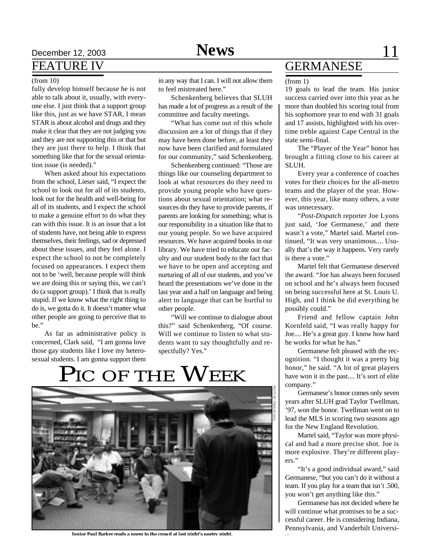## **News**

## Pecember 12, 2003 **Space 2003 Space 2003 Space 2003 Space 2003 Space 2004 Space 2004 Space 2004 Space 2004 Space 2004 Space 2004 Space 2004 Space 2004 Space 2004 Space 2004 Space 2004 Space 20** FEATURE IV

### (from 10)

fully develop himself because he is not able to talk about it, usually, with everyone else. I just think that a support group like this, just as we have STAR, I mean STAR is about alcohol and drugs and they make it clear that they are not judging you and they are not supporting this or that but they are just there to help. I think that something like that for the sexual orientation issue (is needed)."

When asked about his expectations from the school, Lieser said, "I expect the school to look out for all of its students, look out for the health and well-being for all of its students, and I expect the school to make a genuine effort to do what they can with this issue. It is an issue that a lot of students have, not being able to express themselves, their feelings, sad or depressed about these issues, and they feel alone. I expect the school to not be completely focused on appearances. I expect them not to be 'well, because people will think we are doing this or saying this, we can't do (a support group).' I think that is really stupid. If we know what the right thing to do is, we gotta do it. It doesn't matter what other people are going to perceive that to be."

As far as administrative policy is concerned, Clark said, "I am gonna love those gay students like I love my heterosexual students. I am gonna support them in any way that I can. I will not allow them to feel mistreated here."

Schenkenberg believes that SLUH has made a lot of progress as a result of the committee and faculty meetings.

"What has come out of this whole discussion are a lot of things that if they may have been done before, at least they now have been clarified and formulated for our community," said Schenkenberg.

Schenkenberg continued: "Those are things like our counseling department to look at what resources do they need to provide young people who have questions about sexual orientation; what resources do they have to provide parents, if parents are looking for something; what is our responsibility in a situation like that to our young people. So we have acquired resources. We have acquired books in our library. We have tried to educate our faculty and our student body to the fact that we have to be open and accepting and nurturing of all of our students, and you've heard the presentations we've done in the last year and a half on language and being alert to language that can be hurtful to other people.

"Will we continue to dialogue about this?" said Schenkenberg, "Of course. Will we continue to listen to what students want to say thoughtfully and respectfully? Yes."

# PIC OF THE  $\mathbf W$ eek



**Junior Paul Barker reads a poem to the crowd at last night's poetry night.**

## GERMANESE

#### (from 1)

19 goals to lead the team. His junior success carried over into this year as he more than doubled his scoring total from his sophomore year to end with 31 goals and 17 assists, highlighted with his overtime treble against Cape Central in the state semi-final.

The "Player of the Year" honor has brought a fitting close to his career at SLUH.

Every year a conference of coaches votes for their choices for the all-metro teams and the player of the year. However, this year, like many others, a vote was unnecessary.

"*Post-Dispatch* reporter Joe Lyons just said, 'Joe Germanese,' and there wasn't a vote," Martel said. Martel continued, "It was very unanimous.... Usually that's the way it happens. Very rarely is there a vote."

Martel felt that Germanese deserved the award. "Joe has always been focused on school and he's always been focused on being successful here at St. Louis U. High, and I think he did everything he possibly could."

Friend and fellow captain John Kornfeld said, "I was really happy for Joe.... He's a great guy. I know how hard he works for what he has."

Germanese felt pleased with the recognition. "I thought it was a pretty big honor," he said. "A lot of great players have won it in the past.... It's sort of elite company."

Germanese's honor comes only seven years after SLUH grad Taylor Twellman, '97, won the honor. Twellman went on to lead the MLS in scoring two seasons ago for the New England Revolution.

Martel said, "Taylor was more physical and had a more precise shot. Joe is more explosive. They're different players."

"It's a good individual award," said Germanese, "but you can't do it without a team. If you play for a team that isn't .500, you won't get anything like this."

Germanese has not decided where he will continue what promises to be a successful career. He is considering Indiana, Pennsylvania, and Vanderbilt Universi-

ties.